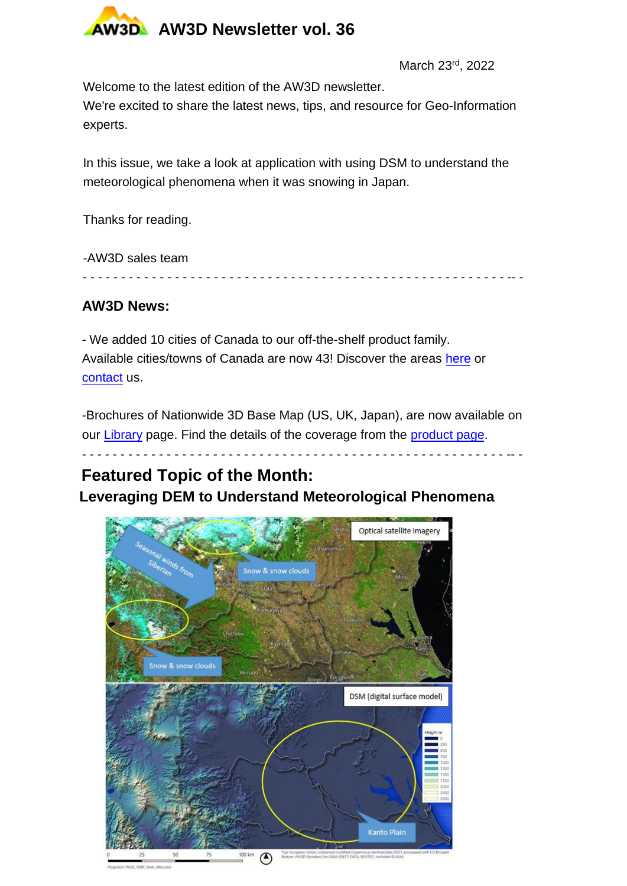

March 23rd, 2022

Welcome to the latest edition of the AW3D newsletter.

We're excited to share the latest news, tips, and resource for Geo-Information experts.

In this issue, we take a look at application with using DSM to understand the meteorological phenomena when it was snowing in Japan.

Thanks for reading.

-AW3D sales team

- - - - - - - - - - - - - - - - - - - - - - - - - - - - - - - - - - - - - - - - - - - - - - - - - - - - - - - -- -

## **AW3D News:**

- We added 10 cities of Canada to our off-the-shelf product family. Available cities/towns of Canada are now 43! Discover the areas [here](https://www.aw3d.jp/en/products/building/) or [contact](https://www.aw3d.jp/en/contactform/) us.

-Brochures of Nationwide 3D Base Map (US, UK, Japan), are now available on our [Library](https://www.aw3d.jp/en/library/) page. Find the details of the coverage from the [product page](https://www.aw3d.jp/en/products/nationwide-us-uk-japan-3d-base-map/).

- - - - - - - - - - - - - - - - - - - - - - - - - - - - - - - - - - - - - - - - - - - - - - - - - - - - - - - -- -

## **Featured Topic of the Month:**

**[Leverag](https://www.aw3d.jp/en/contactform/)ing DEM to Understand Meteorological Phen[omen](https://www.aw3d.jp/en/products/building/)a**